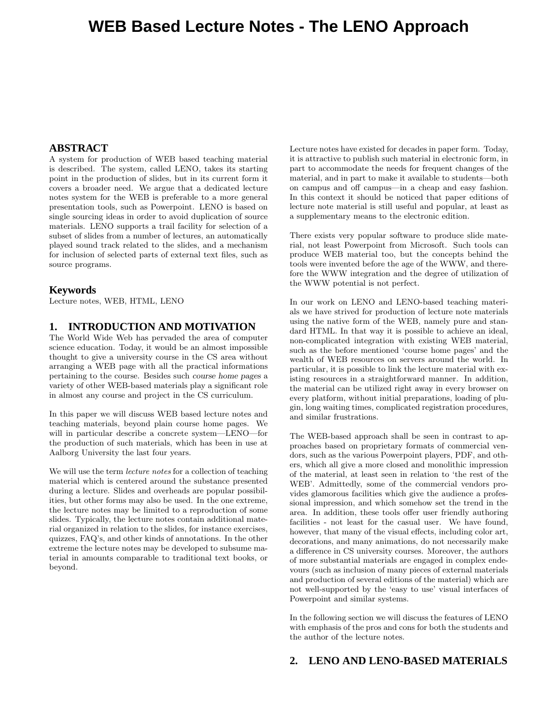# **WEB Based Lecture Notes - The LENO Approach**

#### **ABSTRACT**

A system for production of WEB based teaching material is described. The system, called LENO, takes its starting point in the production of slides, but in its current form it covers a broader need. We argue that a dedicated lecture notes system for the WEB is preferable to a more general presentation tools, such as Powerpoint. LENO is based on single sourcing ideas in order to avoid duplication of source materials. LENO supports a trail facility for selection of a subset of slides from a number of lectures, an automatically played sound track related to the slides, and a mechanism for inclusion of selected parts of external text files, such as source programs.

#### **Keywords**

Lecture notes, WEB, HTML, LENO

## **1. INTRODUCTION AND MOTIVATION**

The World Wide Web has pervaded the area of computer science education. Today, it would be an almost impossible thought to give a university course in the CS area without arranging a WEB page with all the practical informations pertaining to the course. Besides such course home pages a variety of other WEB-based materials play a significant role in almost any course and project in the CS curriculum.

In this paper we will discuss WEB based lecture notes and teaching materials, beyond plain course home pages. We will in particular describe a concrete system—LENO—for the production of such materials, which has been in use at Aalborg University the last four years.

We will use the term *lecture notes* for a collection of teaching material which is centered around the substance presented during a lecture. Slides and overheads are popular possibilities, but other forms may also be used. In the one extreme, the lecture notes may be limited to a reproduction of some slides. Typically, the lecture notes contain additional material organized in relation to the slides, for instance exercises, quizzes, FAQ's, and other kinds of annotations. In the other extreme the lecture notes may be developed to subsume material in amounts comparable to traditional text books, or beyond.

Lecture notes have existed for decades in paper form. Today, it is attractive to publish such material in electronic form, in part to accommodate the needs for frequent changes of the material, and in part to make it available to students—both on campus and off campus—in a cheap and easy fashion. In this context it should be noticed that paper editions of lecture note material is still useful and popular, at least as a supplementary means to the electronic edition.

There exists very popular software to produce slide material, not least Powerpoint from Microsoft. Such tools can produce WEB material too, but the concepts behind the tools were invented before the age of the WWW, and therefore the WWW integration and the degree of utilization of the WWW potential is not perfect.

In our work on LENO and LENO-based teaching materials we have strived for production of lecture note materials using the native form of the WEB, namely pure and standard HTML. In that way it is possible to achieve an ideal, non-complicated integration with existing WEB material, such as the before mentioned 'course home pages' and the wealth of WEB resources on servers around the world. In particular, it is possible to link the lecture material with existing resources in a straightforward manner. In addition, the material can be utilized right away in every browser on every platform, without initial preparations, loading of plugin, long waiting times, complicated registration procedures, and similar frustrations.

The WEB-based approach shall be seen in contrast to approaches based on proprietary formats of commercial vendors, such as the various Powerpoint players, PDF, and others, which all give a more closed and monolithic impression of the material, at least seen in relation to 'the rest of the WEB'. Admittedly, some of the commercial vendors provides glamorous facilities which give the audience a professional impression, and which somehow set the trend in the area. In addition, these tools offer user friendly authoring facilities - not least for the casual user. We have found, however, that many of the visual effects, including color art, decorations, and many animations, do not necessarily make a difference in CS university courses. Moreover, the authors of more substantial materials are engaged in complex endevours (such as inclusion of many pieces of external materials and production of several editions of the material) which are not well-supported by the 'easy to use' visual interfaces of Powerpoint and similar systems.

In the following section we will discuss the features of LENO with emphasis of the pros and cons for both the students and the author of the lecture notes.

### **2. LENO AND LENO-BASED MATERIALS**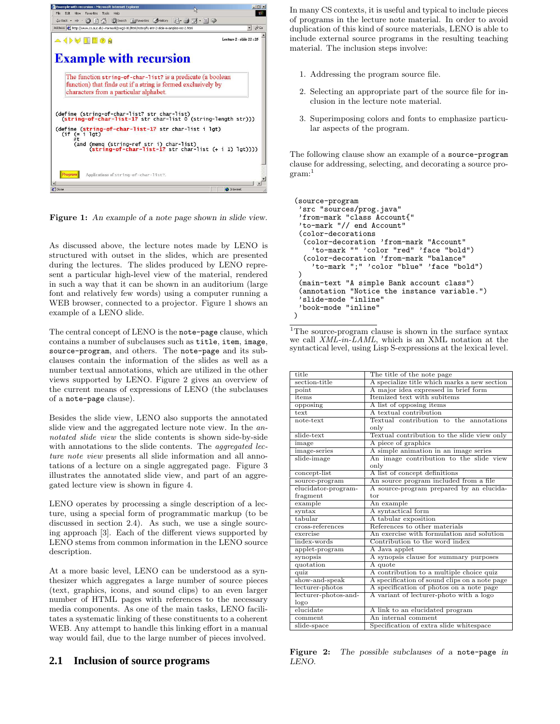

Figure 1: An example of a note page shown in slide view.

As discussed above, the lecture notes made by LENO is structured with outset in the slides, which are presented during the lectures. The slides produced by LENO represent a particular high-level view of the material, rendered in such a way that it can be shown in an auditorium (large font and relatively few words) using a computer running a WEB browser, connected to a projector. Figure 1 shows an example of a LENO slide.

The central concept of LENO is the note-page clause, which contains a number of subclauses such as title, item, image, source-program, and others. The note-page and its subclauses contain the information of the slides as well as a number textual annotations, which are utilized in the other views supported by LENO. Figure 2 gives an overview of the current means of expressions of LENO (the subclauses of a note-page clause).

Besides the slide view, LENO also supports the annotated slide view and the aggregated lecture note view. In the annotated slide view the slide contents is shown side-by-side with annotations to the slide contents. The *aggregated lec*ture note view presents all slide information and all annotations of a lecture on a single aggregated page. Figure 3 illustrates the annotated slide view, and part of an aggregated lecture view is shown in figure 4.

LENO operates by processing a single description of a lecture, using a special form of programmatic markup (to be discussed in section 2.4). As such, we use a single sourcing approach [3]. Each of the different views supported by LENO stems from common information in the LENO source description.

At a more basic level, LENO can be understood as a synthesizer which aggregates a large number of source pieces (text, graphics, icons, and sound clips) to an even larger number of HTML pages with references to the necessary media components. As one of the main tasks, LENO facilitates a systematic linking of these constituents to a coherent WEB. Any attempt to handle this linking effort in a manual way would fail, due to the large number of pieces involved.

#### **2.1 Inclusion of source programs**

In many CS contexts, it is useful and typical to include pieces of programs in the lecture note material. In order to avoid duplication of this kind of source materials, LENO is able to include external source programs in the resulting teaching material. The inclusion steps involve:

- 1. Addressing the program source file.
- 2. Selecting an appropriate part of the source file for inclusion in the lecture note material.
- 3. Superimposing colors and fonts to emphasize particular aspects of the program.

The following clause show an example of a source-program clause for addressing, selecting, and decorating a source pro $gram:$ <sup>1</sup>

```
(source-program
 'src "sources/prog.java"
 'from-mark "class Account{"
 'to-mark "// end Account"
(color-decorations
  (color-decoration 'from-mark "Account"
    'to-mark "" 'color "red" 'face "bold")
  (color-decoration 'from-mark "balance"
    'to-mark ";" 'color "blue" 'face "bold")
)
 (main-text "A simple Bank account class")
 (annotation "Notice the instance variable.")
 'slide-mode "inline"
 'book-mode "inline"
)
```
 $^1\rm{The~source-program~clause~is~shown~in~the~surface~syntax}$ we call XML-in-LAML, which is an XML notation at the syntactical level, using Lisp S-expressions at the lexical level.

| title                  | The title of the note page                                     |
|------------------------|----------------------------------------------------------------|
| section-title          | A specialize title which marks a new section                   |
| point                  | A major idea expressed in brief form                           |
| items                  | Itemized text with subitems                                    |
| opposing               | A list of opposing items                                       |
| text                   | A textual contribution                                         |
| note-text              | Textual contribution to the annotations                        |
|                        | only                                                           |
| slide-text             | Textual contribution to the slide view only                    |
| image                  | A piece of graphics                                            |
| image-series           | A simple animation in an image series                          |
| slide-image            | An image contribution to the slide view                        |
|                        | only                                                           |
| concept-list           | A list of concept definitions                                  |
| source-program         | An source program included from a file                         |
| elucidator-program-    | A source-program prepared by an elucida-                       |
| fragment               | tor                                                            |
| example                | An example                                                     |
| syntax                 | A syntactical form                                             |
|                        |                                                                |
| tabular                | A tabular exposition                                           |
| cross-references       | References to other materials                                  |
| exercise               | An exercise with formulation and solution                      |
| index-words            | Contribution to the word index                                 |
| applet-program         | A Java applet                                                  |
| synopsis               | A synopsis clause for summary purposes                         |
| quotation              | A quote                                                        |
| quiz                   | A contribution to a multiple choice quiz                       |
| show-and-speak         | A specification of sound clips on a note page                  |
| lecturer-photos        | A specification of photos on a note page                       |
| lecturer-photos-and-   | A variant of lecturer-photo with a logo                        |
| logo                   |                                                                |
| elucidate              | A link to an elucidated program                                |
| comment<br>slide-space | An internal comment<br>Specification of extra slide whitespace |

Figure 2: The possible subclauses of a note-page in LENO.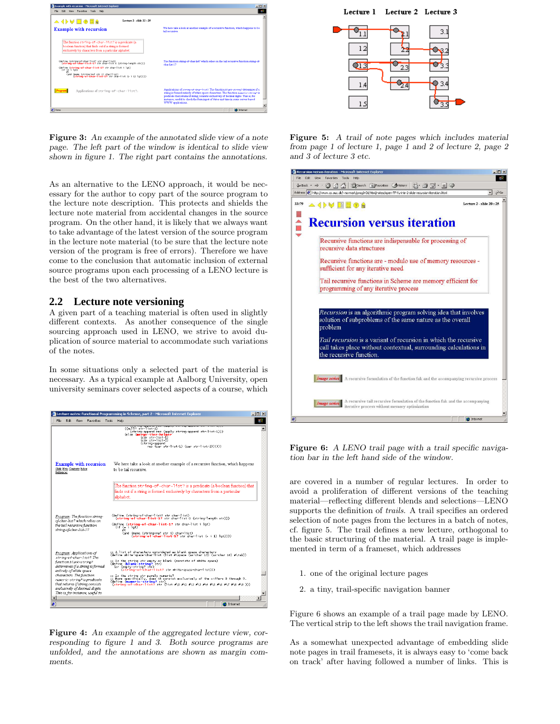

Figure 3: An example of the annotated slide view of a note page. The left part of the window is identical to slide view shown in figure 1. The right part contains the annotations.

As an alternative to the LENO approach, it would be necessary for the author to copy part of the source program to the lecture note description. This protects and shields the lecture note material from accidental changes in the source program. On the other hand, it is likely that we always want to take advantage of the latest version of the source program in the lecture note material (to be sure that the lecture note version of the program is free of errors). Therefore we have come to the conclusion that automatic inclusion of external source programs upon each processing of a LENO lecture is the best of the two alternatives.

# **2.2 Lecture note versioning**

A given part of a teaching material is often used in slightly different contexts. As another consequence of the single sourcing approach used in LENO, we strive to avoid duplication of source material to accommodate such variations of the notes.

In some situations only a selected part of the material is necessary. As a typical example at Aalborg University, open university seminars cover selected aspects of a course, which



Figure 4: An example of the aggregated lecture view, corresponding to figure 1 and 3. Both source programs are unfolded, and the annotations are shown as margin comments.

# Lecture 1 Lecture 2 Lecture 3  $\overline{\Phi_{1,1}}$  $3.1$



Figure 5: A trail of note pages which includes material from page 1 of lecture 1, page 1 and 2 of lecture 2, page 2 and 3 of lecture 3 etc.

| Recursion versus iteration - Microsoft Internet Explorer                                                       | $  D $ $\times$              |
|----------------------------------------------------------------------------------------------------------------|------------------------------|
| Edit<br>File<br>View<br>Favorites<br>Tools<br>Help                                                             | m.                           |
| 수Back ← → ・ ③ F 】 ☆   ③Search FallFavorites ④History   云 - 马 ゴ ・ 目 ◎                                           |                              |
| Address (8) http://www.cs.auc.dk/~normark/prog3-01/html/notes/open-TF-fu-intr-2-slide-recursion-iteration.html | $\approx$ Go<br>$\mathbf{r}$ |
| Lecture 2 - slide 20:25<br>33:79<br><b>△ ◁ ▶ ♥ ■■ ◎ A</b>                                                      |                              |
|                                                                                                                |                              |
| <b>Recursion versus iteration</b>                                                                              |                              |
|                                                                                                                |                              |
| Recursive functions are indispensable for processing of                                                        |                              |
| recursive data structures                                                                                      |                              |
|                                                                                                                |                              |
| Recursive functions are - modulo use of memory resources -                                                     |                              |
| sufficient for any iterative need                                                                              |                              |
|                                                                                                                |                              |
| Tail recursive functions in Scheme are memory efficient for                                                    |                              |
| programming of any iterative process                                                                           |                              |
|                                                                                                                |                              |
|                                                                                                                |                              |
| Recursion is an algorithmic program solving idea that involves                                                 |                              |
| solution of subproblems of the same nature as the overall                                                      |                              |
| problem                                                                                                        |                              |
|                                                                                                                |                              |
| Tail recursion is a variant of recursion in which the recursive                                                |                              |
| call takes place without contextual, surrounding calculations in                                               |                              |
| the recursive function.                                                                                        |                              |
|                                                                                                                |                              |
|                                                                                                                |                              |
| <b>Image series</b> A recursive formulation of the function fak and the accompanying recursive process         |                              |
|                                                                                                                |                              |
|                                                                                                                |                              |
| A recursive tail recursive formulation of the function fak and the accompanying                                |                              |
| Image series<br>iterative process without memory optimization                                                  |                              |
|                                                                                                                |                              |
| 画<br><b>D</b> Internet                                                                                         |                              |

Figure 6: A LENO trail page with a trail specific navigation bar in the left hand side of the window.

are covered in a number of regular lectures. In order to avoid a proliferation of different versions of the teaching material—reflecting different blends and selections—LENO supports the definition of *trails*. A trail specifies an ordered selection of note pages from the lectures in a batch of notes, cf. figure 5. The trail defines a new lecture, orthogonal to the basic structuring of the material. A trail page is implemented in term of a frameset, which addresses

- 1. one of the original lecture pages
- 2. a tiny, trail-specific navigation banner

Figure 6 shows an example of a trail page made by LENO. The vertical strip to the left shows the trail navigation frame.

As a somewhat unexpected advantage of embedding slide note pages in trail framesets, it is always easy to 'come back on track' after having followed a number of links. This is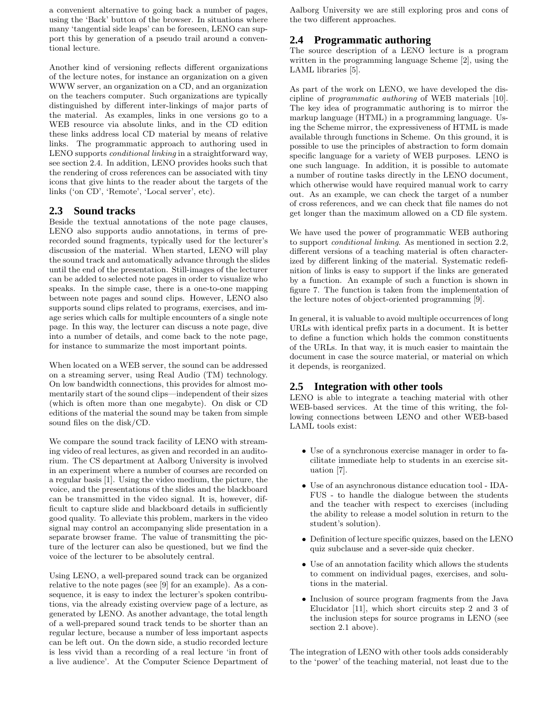a convenient alternative to going back a number of pages, using the 'Back' button of the browser. In situations where many 'tangential side leaps' can be foreseen, LENO can support this by generation of a pseudo trail around a conventional lecture.

Another kind of versioning reflects different organizations of the lecture notes, for instance an organization on a given WWW server, an organization on a CD, and an organization on the teachers computer. Such organizations are typically distinguished by different inter-linkings of major parts of the material. As examples, links in one versions go to a WEB resource via absolute links, and in the CD edition these links address local CD material by means of relative links. The programmatic approach to authoring used in LENO supports *conditional linking* in a straightforward way, see section 2.4. In addition, LENO provides hooks such that the rendering of cross references can be associated with tiny icons that give hints to the reader about the targets of the links ('on CD', 'Remote', 'Local server', etc).

### **2.3 Sound tracks**

Beside the textual annotations of the note page clauses, LENO also supports audio annotations, in terms of prerecorded sound fragments, typically used for the lecturer's discussion of the material. When started, LENO will play the sound track and automatically advance through the slides until the end of the presentation. Still-images of the lecturer can be added to selected note pages in order to visualize who speaks. In the simple case, there is a one-to-one mapping between note pages and sound clips. However, LENO also supports sound clips related to programs, exercises, and image series which calls for multiple encounters of a single note page. In this way, the lecturer can discuss a note page, dive into a number of details, and come back to the note page, for instance to summarize the most important points.

When located on a WEB server, the sound can be addressed on a streaming server, using Real Audio (TM) technology. On low bandwidth connections, this provides for almost momentarily start of the sound clips—independent of their sizes (which is often more than one megabyte). On disk or CD editions of the material the sound may be taken from simple sound files on the disk/CD.

We compare the sound track facility of LENO with streaming video of real lectures, as given and recorded in an auditorium. The CS department at Aalborg University is involved in an experiment where a number of courses are recorded on a regular basis [1]. Using the video medium, the picture, the voice, and the presentations of the slides and the blackboard can be transmitted in the video signal. It is, however, difficult to capture slide and blackboard details in sufficiently good quality. To alleviate this problem, markers in the video signal may control an accompanying slide presentation in a separate browser frame. The value of transmitting the picture of the lecturer can also be questioned, but we find the voice of the lecturer to be absolutely central.

Using LENO, a well-prepared sound track can be organized relative to the note pages (see [9] for an example). As a consequence, it is easy to index the lecturer's spoken contributions, via the already existing overview page of a lecture, as generated by LENO. As another advantage, the total length of a well-prepared sound track tends to be shorter than an regular lecture, because a number of less important aspects can be left out. On the down side, a studio recorded lecture is less vivid than a recording of a real lecture 'in front of a live audience'. At the Computer Science Department of Aalborg University we are still exploring pros and cons of the two different approaches.

# **2.4 Programmatic authoring**

The source description of a LENO lecture is a program written in the programming language Scheme [2], using the LAML libraries [5].

As part of the work on LENO, we have developed the discipline of programmatic authoring of WEB materials [10]. The key idea of programmatic authoring is to mirror the markup language (HTML) in a programming language. Using the Scheme mirror, the expressiveness of HTML is made available through functions in Scheme. On this ground, it is possible to use the principles of abstraction to form domain specific language for a variety of WEB purposes. LENO is one such language. In addition, it is possible to automate a number of routine tasks directly in the LENO document, which otherwise would have required manual work to carry out. As an example, we can check the target of a number of cross references, and we can check that file names do not get longer than the maximum allowed on a CD file system.

We have used the power of programmatic WEB authoring to support conditional linking. As mentioned in section 2.2, different versions of a teaching material is often characterized by different linking of the material. Systematic redefinition of links is easy to support if the links are generated by a function. An example of such a function is shown in figure 7. The function is taken from the implementation of the lecture notes of object-oriented programming [9].

In general, it is valuable to avoid multiple occurrences of long URLs with identical prefix parts in a document. It is better to define a function which holds the common constituents of the URLs. In that way, it is much easier to maintain the document in case the source material, or material on which it depends, is reorganized.

## **2.5 Integration with other tools**

LENO is able to integrate a teaching material with other WEB-based services. At the time of this writing, the following connections between LENO and other WEB-based LAML tools exist:

- Use of a synchronous exercise manager in order to facilitate immediate help to students in an exercise situation [7].
- Use of an asynchronous distance education tool IDA-FUS - to handle the dialogue between the students and the teacher with respect to exercises (including the ability to release a model solution in return to the student's solution).
- Definition of lecture specific quizzes, based on the LENO quiz subclause and a sever-side quiz checker.
- Use of an annotation facility which allows the students to comment on individual pages, exercises, and solutions in the material.
- Inclusion of source program fragments from the Java Elucidator [11], which short circuits step 2 and 3 of the inclusion steps for source programs in LENO (see section 2.1 above).

The integration of LENO with other tools adds considerably to the 'power' of the teaching material, not least due to the